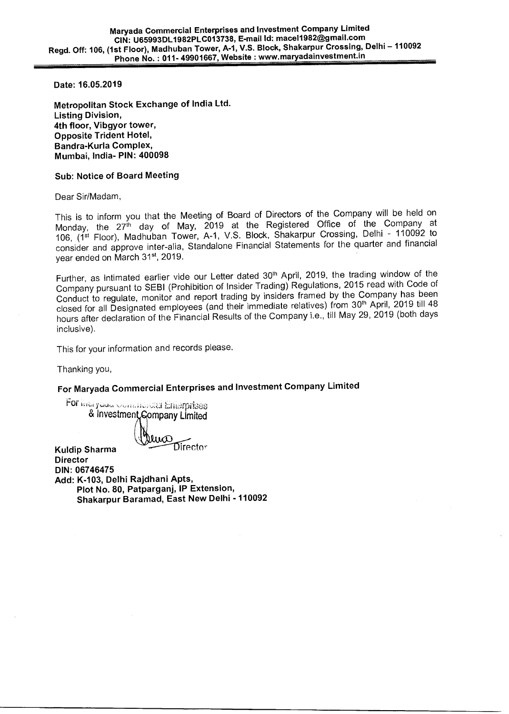**Date: 16.05.2019** 

**Metropolitan Stock Exchange of India Ltd. Listing Division, 4th floor, Vibgyor tower, Opposite Trident Hotel, Bandra-Kurla Complex, Mumbai, India- PIN: 400098** 

## **Sub: Notice of Board Meeting**

Dear Sir/Madam,

This is to inform you that the Meeting of Board of Directors of the Company will be held on Monday, the 27<sup>th</sup> day of May, 2019 at the Registered Office of the Company at 106, (1st Floor), Madhuban Tower, A-1, V.S. Block, Shakarpur Crossing, Delhi - 110092 to consider and approve inter-alia, Standalone Financial Statements for the quarter and financial year ended on March 31<sup>st</sup>, 2019.

Further, as intimated earlier vide our Letter dated 30<sup>th</sup> April, 2019, the trading window of the Company pursuant to SEBI (Prohibition of Insider Trading) Regulations, 2015 read with Code of Conduct to regulate, monitor and report trading by insiders framed by the Company has been closed for all Designated employees (and their immediate relatives) from 30<sup>th</sup> April, 2019 till 48 hours after declaration of the Financial Results of the Company i.e., till May 29, 2019 (both days inclusive).

This for your information and records please.

Thanking you,

**Kuldip Sharma** 

## **For Maryada Commercial Enterprises and Investment Company Limited**

For ividi yuuta communication Enterprises & Investment Gompany Limited

e**VI I**  Director

**Director DIN: 06746475 Add: K-103, Delhi Rajdhani Apts, Plot No. 80, Patparganj, IP Extension, Shakarpur Baramad, East New Delhi - 110092**